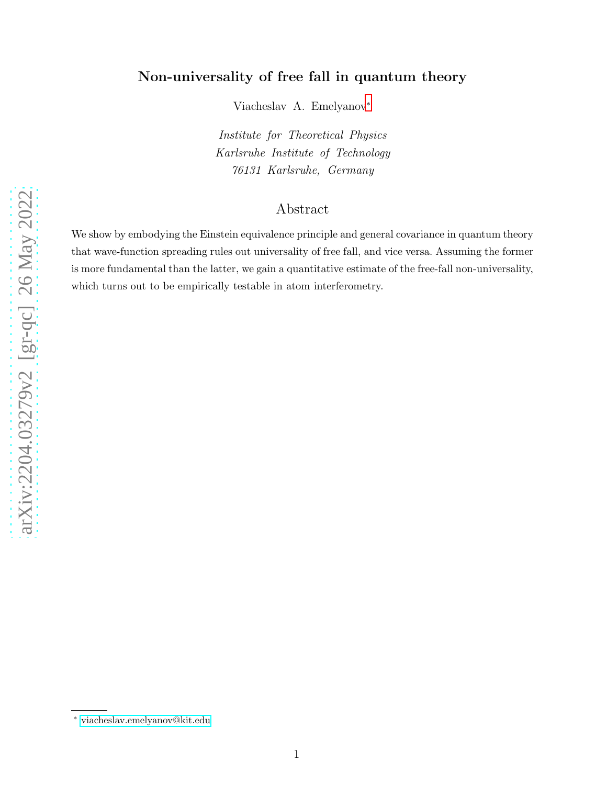# Non-universality of free fall in quantum theory

Viacheslav A. Emelyanov[∗](#page-0-0)

Institute for Theoretical Physics Karlsruhe Institute of Technology 76131 Karlsruhe, Germany

# Abstract

We show by embodying the Einstein equivalence principle and general covariance in quantum theory that wave-function spreading rules out universality of free fall, and vice versa. Assuming the former is more fundamental than the latter, we gain a quantitative estimate of the free-fall non-universality, which turns out to be empirically testable in atom interferometry.

<span id="page-0-0"></span><sup>∗</sup> [viacheslav.emelyanov@kit.edu](mailto:viacheslav.emelyanov@kit.edu)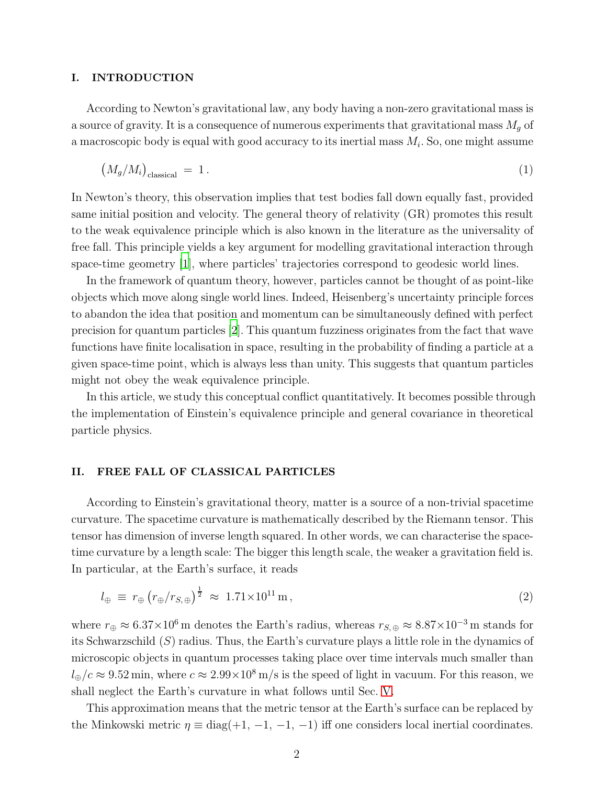#### I. INTRODUCTION

According to Newton's gravitational law, any body having a non-zero gravitational mass is a source of gravity. It is a consequence of numerous experiments that gravitational mass  $M_g$  of a macroscopic body is equal with good accuracy to its inertial mass  $M_i$ . So, one might assume

<span id="page-1-0"></span>
$$
(M_g/M_i)_{\text{classical}} = 1. \t\t(1)
$$

In Newton's theory, this observation implies that test bodies fall down equally fast, provided same initial position and velocity. The general theory of relativity (GR) promotes this result to the weak equivalence principle which is also known in the literature as the universality of free fall. This principle yields a key argument for modelling gravitational interaction through space-time geometry [\[1](#page-7-0)], where particles' trajectories correspond to geodesic world lines.

In the framework of quantum theory, however, particles cannot be thought of as point-like objects which move along single world lines. Indeed, Heisenberg's uncertainty principle forces to abandon the idea that position and momentum can be simultaneously defined with perfect precision for quantum particles [\[2](#page-7-1)]. This quantum fuzziness originates from the fact that wave functions have finite localisation in space, resulting in the probability of finding a particle at a given space-time point, which is always less than unity. This suggests that quantum particles might not obey the weak equivalence principle.

In this article, we study this conceptual conflict quantitatively. It becomes possible through the implementation of Einstein's equivalence principle and general covariance in theoretical particle physics.

#### II. FREE FALL OF CLASSICAL PARTICLES

According to Einstein's gravitational theory, matter is a source of a non-trivial spacetime curvature. The spacetime curvature is mathematically described by the Riemann tensor. This tensor has dimension of inverse length squared. In other words, we can characterise the spacetime curvature by a length scale: The bigger this length scale, the weaker a gravitation field is. In particular, at the Earth's surface, it reads

$$
l_{\oplus} \equiv r_{\oplus} \left( r_{\oplus}/r_{S,\oplus} \right)^{\frac{1}{2}} \approx 1.71 \times 10^{11} \,\mathrm{m} \,, \tag{2}
$$

where  $r_{\oplus} \approx 6.37 \times 10^6$  m denotes the Earth's radius, whereas  $r_{S, \oplus} \approx 8.87 \times 10^{-3}$  m stands for its Schwarzschild  $(S)$  radius. Thus, the Earth's curvature plays a little role in the dynamics of microscopic objects in quantum processes taking place over time intervals much smaller than  $l_{\oplus}/c \approx 9.52$  min, where  $c \approx 2.99 \times 10^8$  m/s is the speed of light in vacuum. For this reason, we shall neglect the Earth's curvature in what follows until Sec. [V.](#page-5-0)

This approximation means that the metric tensor at the Earth's surface can be replaced by the Minkowski metric  $\eta \equiv \text{diag}(+1, -1, -1, -1)$  iff one considers local inertial coordinates.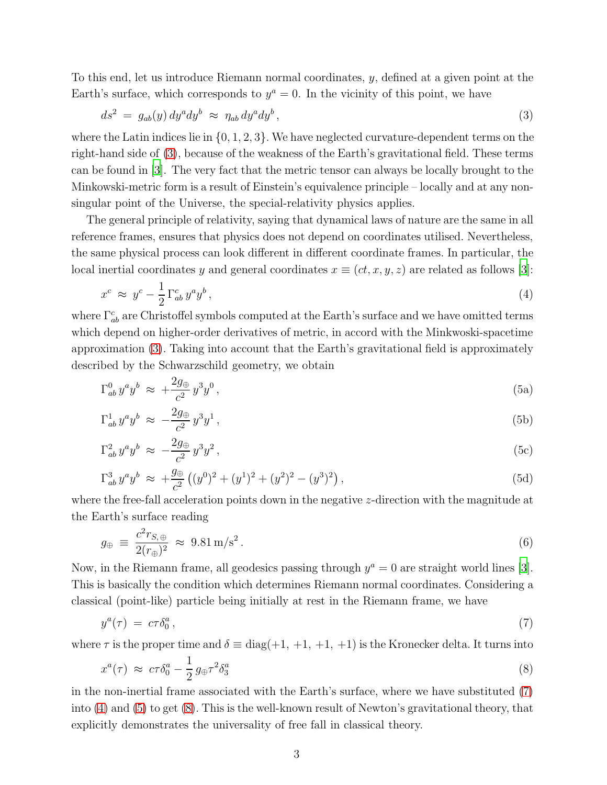To this end, let us introduce Riemann normal coordinates, y, defined at a given point at the Earth's surface, which corresponds to  $y^a = 0$ . In the vicinity of this point, we have

<span id="page-2-0"></span>
$$
ds^2 = g_{ab}(y) dy^a dy^b \approx \eta_{ab} dy^a dy^b,
$$
\n(3)

where the Latin indices lie in  $\{0, 1, 2, 3\}$ . We have neglected curvature-dependent terms on the right-hand side of [\(3\)](#page-2-0), because of the weakness of the Earth's gravitational field. These terms can be found in [\[3\]](#page-7-2). The very fact that the metric tensor can always be locally brought to the Minkowski-metric form is a result of Einstein's equivalence principle – locally and at any nonsingular point of the Universe, the special-relativity physics applies.

The general principle of relativity, saying that dynamical laws of nature are the same in all reference frames, ensures that physics does not depend on coordinates utilised. Nevertheless, the same physical process can look different in different coordinate frames. In particular, the local inertial coordinates y and general coordinates  $x \equiv (ct, x, y, z)$  are related as follows [\[3\]](#page-7-2):

<span id="page-2-2"></span>
$$
x^c \approx y^c - \frac{1}{2} \Gamma^c_{ab} y^a y^b, \qquad (4)
$$

where  $\Gamma^c_{ab}$  are Christoffel symbols computed at the Earth's surface and we have omitted terms which depend on higher-order derivatives of metric, in accord with the Minkwoski-spacetime approximation [\(3\)](#page-2-0). Taking into account that the Earth's gravitational field is approximately described by the Schwarzschild geometry, we obtain

<span id="page-2-5"></span><span id="page-2-3"></span>
$$
\Gamma^0_{ab} y^a y^b \approx \, + \frac{2g_\oplus}{c^2} y^3 y^0 \,, \tag{5a}
$$

$$
\Gamma^1_{ab} y^a y^b \approx -\frac{2g_\oplus}{c^2} y^3 y^1 \,, \tag{5b}
$$

$$
\Gamma_{ab}^2 y^a y^b \approx -\frac{2g_\oplus}{c^2} y^3 y^2 \,, \tag{5c}
$$

$$
\Gamma_{ab}^3 y^a y^b \approx \ +\frac{g_\oplus}{c^2} \left( (y^0)^2 + (y^1)^2 + (y^2)^2 - (y^3)^2 \right),\tag{5d}
$$

where the free-fall acceleration points down in the negative z-direction with the magnitude at the Earth's surface reading

$$
g_{\oplus} \equiv \frac{c^2 r_{S,\oplus}}{2(r_{\oplus})^2} \approx 9.81 \,\mathrm{m/s^2} \,. \tag{6}
$$

Now, in the Riemann frame, all geodesics passing through  $y^a = 0$  are straight world lines [\[3\]](#page-7-2). This is basically the condition which determines Riemann normal coordinates. Considering a classical (point-like) particle being initially at rest in the Riemann frame, we have

<span id="page-2-1"></span>
$$
y^a(\tau) = c\tau \delta_0^a \,, \tag{7}
$$

where  $\tau$  is the proper time and  $\delta \equiv \text{diag}(+1, +1, +1, +1)$  is the Kronecker delta. It turns into

<span id="page-2-4"></span>
$$
x^{a}(\tau) \approx c\tau \delta_0^{a} - \frac{1}{2} g_{\oplus} \tau^2 \delta_3^{a} \tag{8}
$$

in the non-inertial frame associated with the Earth's surface, where we have substituted [\(7\)](#page-2-1) into [\(4\)](#page-2-2) and [\(5\)](#page-2-3) to get [\(8\)](#page-2-4). This is the well-known result of Newton's gravitational theory, that explicitly demonstrates the universality of free fall in classical theory.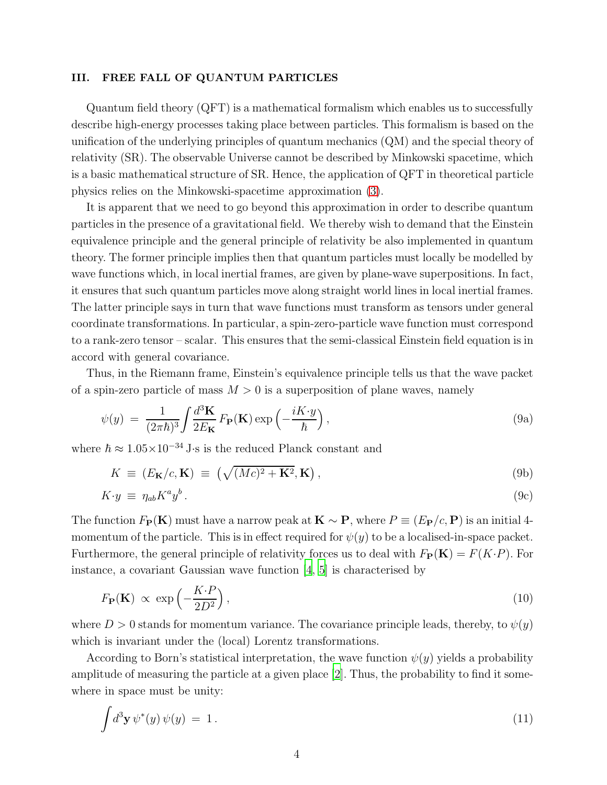#### III. FREE FALL OF QUANTUM PARTICLES

Quantum field theory (QFT) is a mathematical formalism which enables us to successfully describe high-energy processes taking place between particles. This formalism is based on the unification of the underlying principles of quantum mechanics (QM) and the special theory of relativity (SR). The observable Universe cannot be described by Minkowski spacetime, which is a basic mathematical structure of SR. Hence, the application of QFT in theoretical particle physics relies on the Minkowski-spacetime approximation [\(3\)](#page-2-0).

It is apparent that we need to go beyond this approximation in order to describe quantum particles in the presence of a gravitational field. We thereby wish to demand that the Einstein equivalence principle and the general principle of relativity be also implemented in quantum theory. The former principle implies then that quantum particles must locally be modelled by wave functions which, in local inertial frames, are given by plane-wave superpositions. In fact, it ensures that such quantum particles move along straight world lines in local inertial frames. The latter principle says in turn that wave functions must transform as tensors under general coordinate transformations. In particular, a spin-zero-particle wave function must correspond to a rank-zero tensor – scalar. This ensures that the semi-classical Einstein field equation is in accord with general covariance.

Thus, in the Riemann frame, Einstein's equivalence principle tells us that the wave packet of a spin-zero particle of mass  $M > 0$  is a superposition of plane waves, namely

<span id="page-3-1"></span>
$$
\psi(y) = \frac{1}{(2\pi\hbar)^3} \int \frac{d^3 \mathbf{K}}{2E_{\mathbf{K}}} F_{\mathbf{P}}(\mathbf{K}) \exp\left(-\frac{iK \cdot y}{\hbar}\right), \tag{9a}
$$

where  $\hbar \approx 1.05 \times 10^{-34}$  J⋅s is the reduced Planck constant and

$$
K \equiv (E_{\mathbf{K}}/c, \mathbf{K}) \equiv \left(\sqrt{(Mc)^2 + \mathbf{K}^2}, \mathbf{K}\right),\tag{9b}
$$

$$
K \cdot y \equiv \eta_{ab} K^a y^b \,. \tag{9c}
$$

The function  $F_{\mathbf{P}}(\mathbf{K})$  must have a narrow peak at  $\mathbf{K} \sim \mathbf{P}$ , where  $P \equiv (E_{\mathbf{P}}/c, \mathbf{P})$  is an initial 4momentum of the particle. This is in effect required for  $\psi(y)$  to be a localised-in-space packet. Furthermore, the general principle of relativity forces us to deal with  $F_P(K) = F(K \cdot P)$ . For instance, a covariant Gaussian wave function  $\vert 4, 5 \vert$  is characterised by

<span id="page-3-2"></span>
$$
F_{\mathbf{P}}(\mathbf{K}) \propto \exp\left(-\frac{K \cdot P}{2D^2}\right),\tag{10}
$$

where  $D > 0$  stands for momentum variance. The covariance principle leads, thereby, to  $\psi(y)$ which is invariant under the (local) Lorentz transformations.

According to Born's statistical interpretation, the wave function  $\psi(y)$  yields a probability amplitude of measuring the particle at a given place [\[2](#page-7-1)]. Thus, the probability to find it somewhere in space must be unity:

<span id="page-3-0"></span>
$$
\int d^3 \mathbf{y} \, \psi^*(y) \, \psi(y) = 1. \tag{11}
$$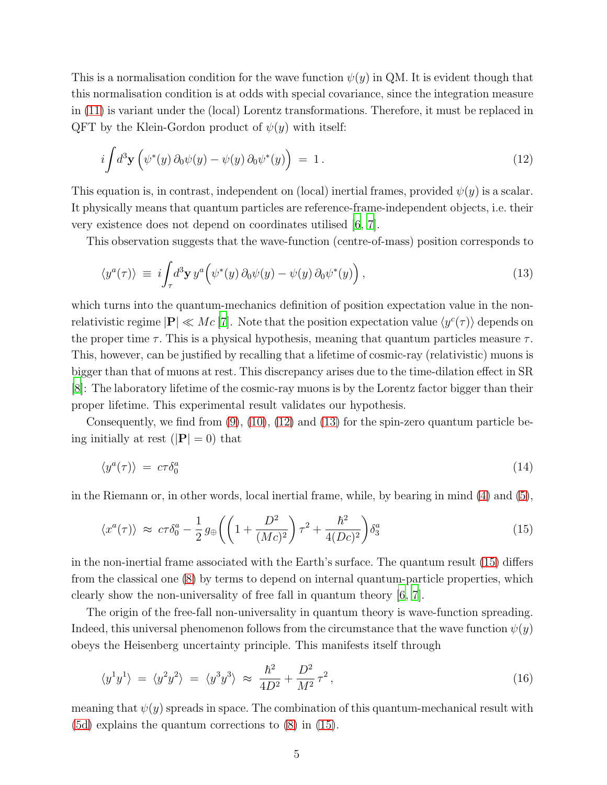This is a normalisation condition for the wave function  $\psi(y)$  in QM. It is evident though that this normalisation condition is at odds with special covariance, since the integration measure in [\(11\)](#page-3-0) is variant under the (local) Lorentz transformations. Therefore, it must be replaced in QFT by the Klein-Gordon product of  $\psi(y)$  with itself:

<span id="page-4-0"></span>
$$
i \int d^3 \mathbf{y} \left( \psi^*(y) \, \partial_0 \psi(y) - \psi(y) \, \partial_0 \psi^*(y) \right) = 1 \,. \tag{12}
$$

This equation is, in contrast, independent on (local) inertial frames, provided  $\psi(y)$  is a scalar. It physically means that quantum particles are reference-frame-independent objects, i.e. their very existence does not depend on coordinates utilised [\[6,](#page-7-5) [7\]](#page-7-6).

This observation suggests that the wave-function (centre-of-mass) position corresponds to

<span id="page-4-1"></span>
$$
\langle y^a(\tau) \rangle \equiv i \int_{\tau} d^3 \mathbf{y} \, y^a \Big( \psi^*(y) \, \partial_0 \psi(y) - \psi(y) \, \partial_0 \psi^*(y) \Big) \,, \tag{13}
$$

which turns into the quantum-mechanics definition of position expectation value in the nonrelativistic regime  $|\mathbf{P}| \ll Mc$  [\[7\]](#page-7-6). Note that the position expectation value  $\langle y^c(\tau) \rangle$  depends on the proper time  $\tau$ . This is a physical hypothesis, meaning that quantum particles measure  $\tau$ . This, however, can be justified by recalling that a lifetime of cosmic-ray (relativistic) muons is bigger than that of muons at rest. This discrepancy arises due to the time-dilation effect in SR [\[8](#page-7-7)]: The laboratory lifetime of the cosmic-ray muons is by the Lorentz factor bigger than their proper lifetime. This experimental result validates our hypothesis.

Consequently, we find from  $(9)$ ,  $(10)$ ,  $(12)$  and  $(13)$  for the spin-zero quantum particle being initially at rest  $(|\mathbf{P}| = 0)$  that

$$
\langle y^a(\tau) \rangle = c\tau \delta_0^a \tag{14}
$$

in the Riemann or, in other words, local inertial frame, while, by bearing in mind [\(4\)](#page-2-2) and [\(5\)](#page-2-3),

<span id="page-4-2"></span>
$$
\langle x^a(\tau) \rangle \approx c\tau \delta_0^a - \frac{1}{2} g_{\oplus} \left( \left( 1 + \frac{D^2}{(Mc)^2} \right) \tau^2 + \frac{\hbar^2}{4(Dc)^2} \right) \delta_3^a \tag{15}
$$

in the non-inertial frame associated with the Earth's surface. The quantum result [\(15\)](#page-4-2) differs from the classical one [\(8\)](#page-2-4) by terms to depend on internal quantum-particle properties, which clearly show the non-universality of free fall in quantum theory [\[6,](#page-7-5) [7](#page-7-6)].

The origin of the free-fall non-universality in quantum theory is wave-function spreading. Indeed, this universal phenomenon follows from the circumstance that the wave function  $\psi(y)$ obeys the Heisenberg uncertainty principle. This manifests itself through

$$
\langle y^1 y^1 \rangle = \langle y^2 y^2 \rangle = \langle y^3 y^3 \rangle \approx \frac{\hbar^2}{4D^2} + \frac{D^2}{M^2} \tau^2, \qquad (16)
$$

meaning that  $\psi(y)$  spreads in space. The combination of this quantum-mechanical result with [\(5d\)](#page-2-5) explains the quantum corrections to [\(8\)](#page-2-4) in [\(15\)](#page-4-2).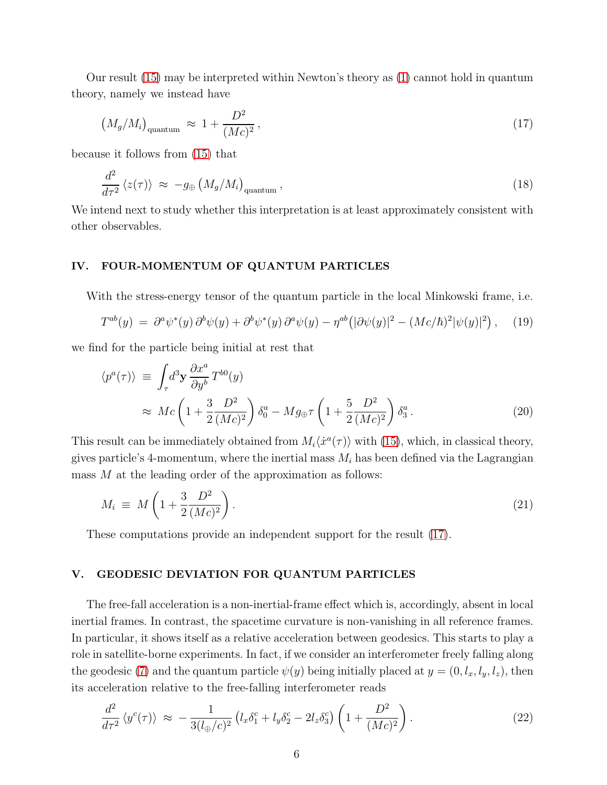Our result [\(15\)](#page-4-2) may be interpreted within Newton's theory as [\(1\)](#page-1-0) cannot hold in quantum theory, namely we instead have

<span id="page-5-1"></span>
$$
\left(M_g/M_i\right)_{\text{quantum}} \approx 1 + \frac{D^2}{(Mc)^2},\tag{17}
$$

because it follows from [\(15\)](#page-4-2) that

<span id="page-5-2"></span>
$$
\frac{d^2}{d\tau^2} \langle z(\tau) \rangle \approx -g_{\oplus} \left( M_g / M_i \right)_{\text{quantum}},
$$
\n(18)

We intend next to study whether this interpretation is at least approximately consistent with other observables.

#### IV. FOUR-MOMENTUM OF QUANTUM PARTICLES

With the stress-energy tensor of the quantum particle in the local Minkowski frame, i.e.

$$
T^{ab}(y) = \partial^a \psi^*(y) \partial^b \psi(y) + \partial^b \psi^*(y) \partial^a \psi(y) - \eta^{ab} (|\partial \psi(y)|^2 - (Mc/\hbar)^2 |\psi(y)|^2), \quad (19)
$$

we find for the particle being initial at rest that

$$
\langle p^{a}(\tau) \rangle \equiv \int_{\tau} d^{3} \mathbf{y} \frac{\partial x^{a}}{\partial y^{b}} T^{b0}(y)
$$
  

$$
\approx M c \left( 1 + \frac{3}{2} \frac{D^{2}}{(Mc)^{2}} \right) \delta_{0}^{a} - M g_{\oplus} \tau \left( 1 + \frac{5}{2} \frac{D^{2}}{(Mc)^{2}} \right) \delta_{3}^{a}.
$$
 (20)

This result can be immediately obtained from  $M_i \langle \dot{x}^a(\tau) \rangle$  with [\(15\)](#page-4-2), which, in classical theory, gives particle's 4-momentum, where the inertial mass  $M_i$  has been defined via the Lagrangian mass M at the leading order of the approximation as follows:

$$
M_i \equiv M \left( 1 + \frac{3}{2} \frac{D^2}{(Mc)^2} \right). \tag{21}
$$

These computations provide an independent support for the result [\(17\)](#page-5-1).

#### <span id="page-5-0"></span>V. GEODESIC DEVIATION FOR QUANTUM PARTICLES

The free-fall acceleration is a non-inertial-frame effect which is, accordingly, absent in local inertial frames. In contrast, the spacetime curvature is non-vanishing in all reference frames. In particular, it shows itself as a relative acceleration between geodesics. This starts to play a role in satellite-borne experiments. In fact, if we consider an interferometer freely falling along the geodesic [\(7\)](#page-2-1) and the quantum particle  $\psi(y)$  being initially placed at  $y = (0, l_x, l_y, l_z)$ , then its acceleration relative to the free-falling interferometer reads

$$
\frac{d^2}{d\tau^2} \left\langle y^c(\tau) \right\rangle \approx -\frac{1}{3(l_\oplus/c)^2} \left( l_x \delta_1^c + l_y \delta_2^c - 2l_z \delta_3^c \right) \left( 1 + \frac{D^2}{(Mc)^2} \right). \tag{22}
$$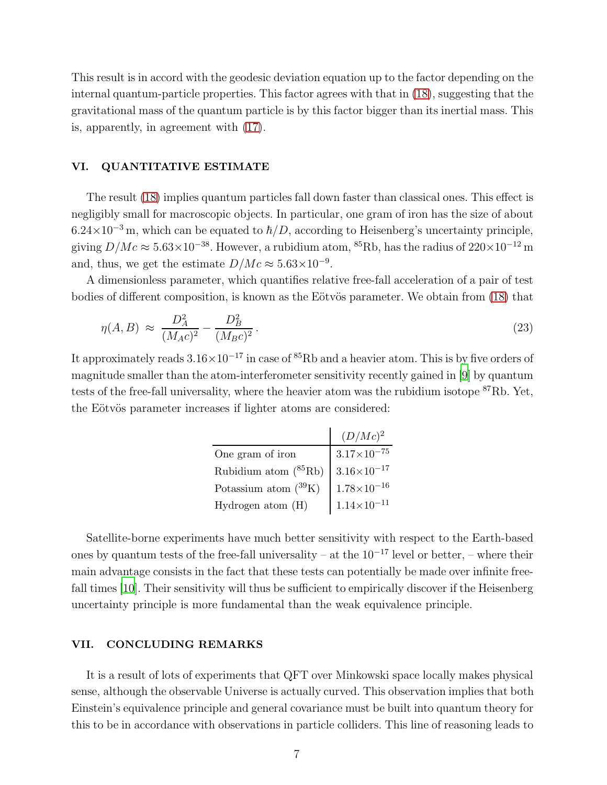This result is in accord with the geodesic deviation equation up to the factor depending on the internal quantum-particle properties. This factor agrees with that in [\(18\)](#page-5-2), suggesting that the gravitational mass of the quantum particle is by this factor bigger than its inertial mass. This is, apparently, in agreement with [\(17\)](#page-5-1).

### VI. QUANTITATIVE ESTIMATE

The result [\(18\)](#page-5-2) implies quantum particles fall down faster than classical ones. This effect is negligibly small for macroscopic objects. In particular, one gram of iron has the size of about  $6.24\times10^{-3}$  m, which can be equated to  $\hbar/D$ , according to Heisenberg's uncertainty principle, giving  $D/Mc \approx 5.63 \times 10^{-38}$ . However, a rubidium atom, <sup>85</sup>Rb, has the radius of  $220 \times 10^{-12}$  m and, thus, we get the estimate  $D/Mc \approx 5.63 \times 10^{-9}$ .

A dimensionless parameter, which quantifies relative free-fall acceleration of a pair of test bodies of different composition, is known as the Eötvös parameter. We obtain from [\(18\)](#page-5-2) that

$$
\eta(A,B) \approx \frac{D_A^2}{(M_A c)^2} - \frac{D_B^2}{(M_B c)^2} \,. \tag{23}
$$

It approximately reads  $3.16\times10^{-17}$  in case of  ${}^{85}\text{Rb}$  and a heavier atom. This is by five orders of magnitude smaller than the atom-interferometer sensitivity recently gained in [\[9\]](#page-7-8) by quantum tests of the free-fall universality, where the heavier atom was the rubidium isotope <sup>87</sup>Rb. Yet, the Eötvös parameter increases if lighter atoms are considered:

|                                  | $(D/Mc)^2$             |
|----------------------------------|------------------------|
| One gram of iron                 | $3.17\times10^{-75}$   |
| Rubidium atom $(^{85}\text{Rb})$ | $3.16 \times 10^{-17}$ |
| Potassium atom $(^{39}K)$        | $1.78{\times}10^{-16}$ |
| Hydrogen atom (H)                | $1.14{\times}10^{-11}$ |

Satellite-borne experiments have much better sensitivity with respect to the Earth-based ones by quantum tests of the free-fall universality – at the  $10^{-17}$  level or better, – where their main advantage consists in the fact that these tests can potentially be made over infinite freefall times [\[10\]](#page-7-9). Their sensitivity will thus be sufficient to empirically discover if the Heisenberg uncertainty principle is more fundamental than the weak equivalence principle.

## VII. CONCLUDING REMARKS

It is a result of lots of experiments that QFT over Minkowski space locally makes physical sense, although the observable Universe is actually curved. This observation implies that both Einstein's equivalence principle and general covariance must be built into quantum theory for this to be in accordance with observations in particle colliders. This line of reasoning leads to